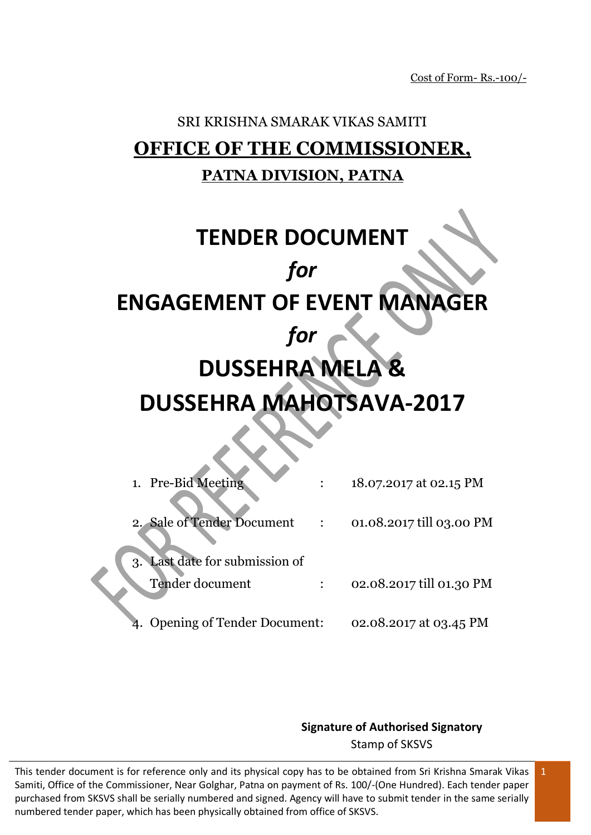# SRI KRISHNA SMARAK VIKAS SAMITI **OFFICE OF THE COMMISSIONER, PATNA DIVISION, PATNA**

# **TENDER DOCUMENT** *for* **ENGAGEMENT OF EVENT MANAGER** *for* **DUSSEHRA MELA & DUSSEHRA MAHOTSAVA-2017**

| 1. Pre-Bid Meeting                                   | 18.07.2017 at 02.15 PM   |
|------------------------------------------------------|--------------------------|
| 2. Sale of Tender Document                           | 01.08.2017 till 03.00 PM |
| Last date for submission of<br>3.<br>Tender document | 02.08.2017 till 01.30 PM |
| <b>Opening of Tender Document:</b>                   | 02.08.2017 at 03.45 PM   |

**Signature of Authorised Signatory** Stamp of SKSVS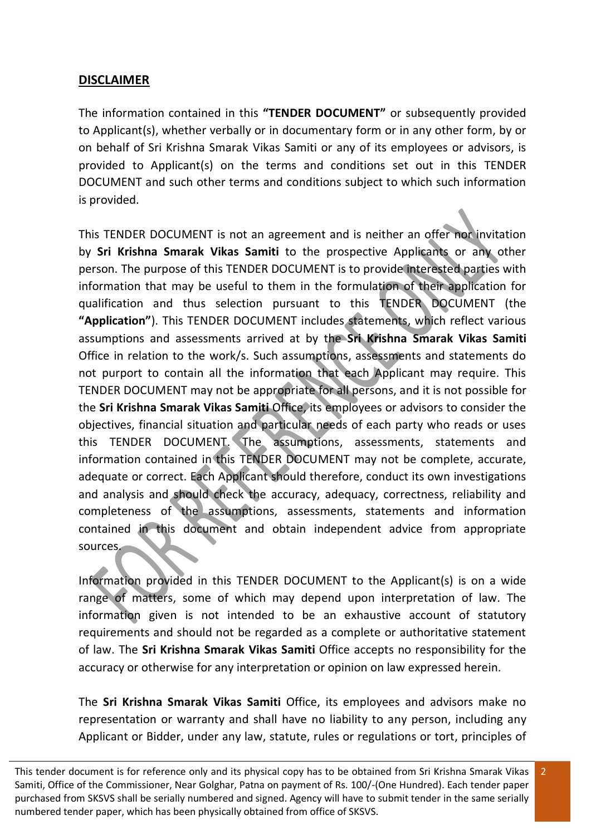#### **DISCLAIMER**

The information contained in this **"TENDER DOCUMENT"** or subsequently provided to Applicant(s), whether verbally or in documentary form or in any other form, by or on behalf of Sri Krishna Smarak Vikas Samiti or any of its employees or advisors, is provided to Applicant(s) on the terms and conditions set out in this TENDER DOCUMENT and such other terms and conditions subject to which such information is provided.

This TENDER DOCUMENT is not an agreement and is neither an offer nor invitation by **Sri Krishna Smarak Vikas Samiti** to the prospective Applicants or any other person. The purpose of this TENDER DOCUMENT is to provide interested parties with information that may be useful to them in the formulation of their application for qualification and thus selection pursuant to this TENDER DOCUMENT (the **"Application"**). This TENDER DOCUMENT includes statements, which reflect various assumptions and assessments arrived at by the **Sri Krishna Smarak Vikas Samiti** Office in relation to the work/s. Such assumptions, assessments and statements do not purport to contain all the information that each Applicant may require. This TENDER DOCUMENT may not be appropriate for all persons, and it is not possible for the **Sri Krishna Smarak Vikas Samiti** Office, its employees or advisors to consider the objectives, financial situation and particular needs of each party who reads or uses this TENDER DOCUMENT. The assumptions, assessments, statements and information contained in this TENDER DOCUMENT may not be complete, accurate, adequate or correct. Each Applicant should therefore, conduct its own investigations and analysis and should check the accuracy, adequacy, correctness, reliability and completeness of the assumptions, assessments, statements and information contained in this document and obtain independent advice from appropriate sources.

Information provided in this TENDER DOCUMENT to the Applicant(s) is on a wide range of matters, some of which may depend upon interpretation of law. The information given is not intended to be an exhaustive account of statutory requirements and should not be regarded as a complete or authoritative statement of law. The **Sri Krishna Smarak Vikas Samiti** Office accepts no responsibility for the accuracy or otherwise for any interpretation or opinion on law expressed herein.

The **Sri Krishna Smarak Vikas Samiti** Office, its employees and advisors make no representation or warranty and shall have no liability to any person, including any Applicant or Bidder, under any law, statute, rules or regulations or tort, principles of

This tender document is for reference only and its physical copy has to be obtained from Sri Krishna Smarak Vikas Samiti, Office of the Commissioner, Near Golghar, Patna on payment of Rs. 100/-(One Hundred). Each tender paper purchased from SKSVS shall be serially numbered and signed. Agency will have to submit tender in the same serially numbered tender paper, which has been physically obtained from office of SKSVS.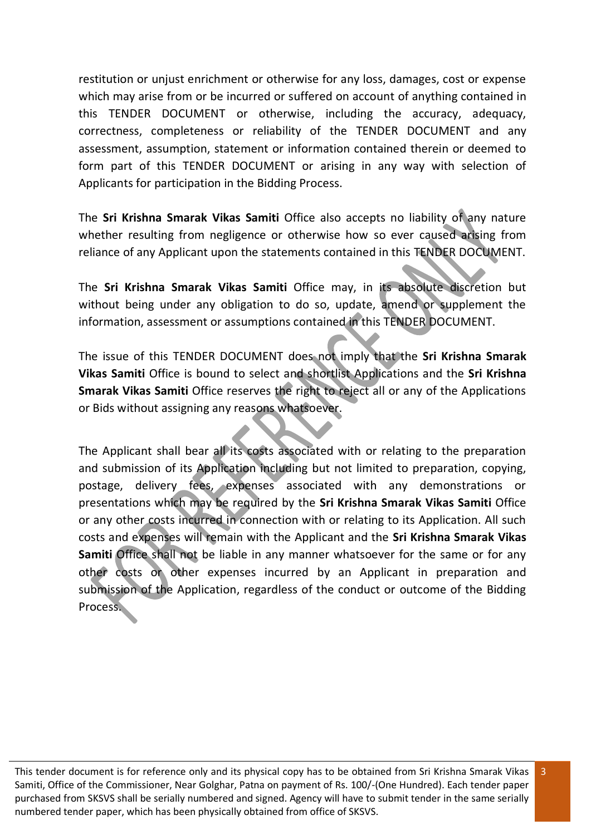restitution or unjust enrichment or otherwise for any loss, damages, cost or expense which may arise from or be incurred or suffered on account of anything contained in this TENDER DOCUMENT or otherwise, including the accuracy, adequacy, correctness, completeness or reliability of the TENDER DOCUMENT and any assessment, assumption, statement or information contained therein or deemed to form part of this TENDER DOCUMENT or arising in any way with selection of Applicants for participation in the Bidding Process.

The **Sri Krishna Smarak Vikas Samiti** Office also accepts no liability of any nature whether resulting from negligence or otherwise how so ever caused arising from reliance of any Applicant upon the statements contained in this TENDER DOCUMENT.

The **Sri Krishna Smarak Vikas Samiti** Office may, in its absolute discretion but without being under any obligation to do so, update, amend or supplement the information, assessment or assumptions contained in this TENDER DOCUMENT.

The issue of this TENDER DOCUMENT does not imply that the **Sri Krishna Smarak Vikas Samiti** Office is bound to select and shortlist Applications and the **Sri Krishna Smarak Vikas Samiti** Office reserves the right to reject all or any of the Applications or Bids without assigning any reasons whatsoever.

The Applicant shall bear all its costs associated with or relating to the preparation and submission of its Application including but not limited to preparation, copying, postage, delivery fees, expenses associated with any demonstrations or presentations which may be required by the **Sri Krishna Smarak Vikas Samiti** Office or any other costs incurred in connection with or relating to its Application. All such costs and expenses will remain with the Applicant and the **Sri Krishna Smarak Vikas Samiti** Office shall not be liable in any manner whatsoever for the same or for any other costs or other expenses incurred by an Applicant in preparation and submission of the Application, regardless of the conduct or outcome of the Bidding Process.

This tender document is for reference only and its physical copy has to be obtained from Sri Krishna Smarak Vikas Samiti, Office of the Commissioner, Near Golghar, Patna on payment of Rs. 100/-(One Hundred). Each tender paper purchased from SKSVS shall be serially numbered and signed. Agency will have to submit tender in the same serially numbered tender paper, which has been physically obtained from office of SKSVS.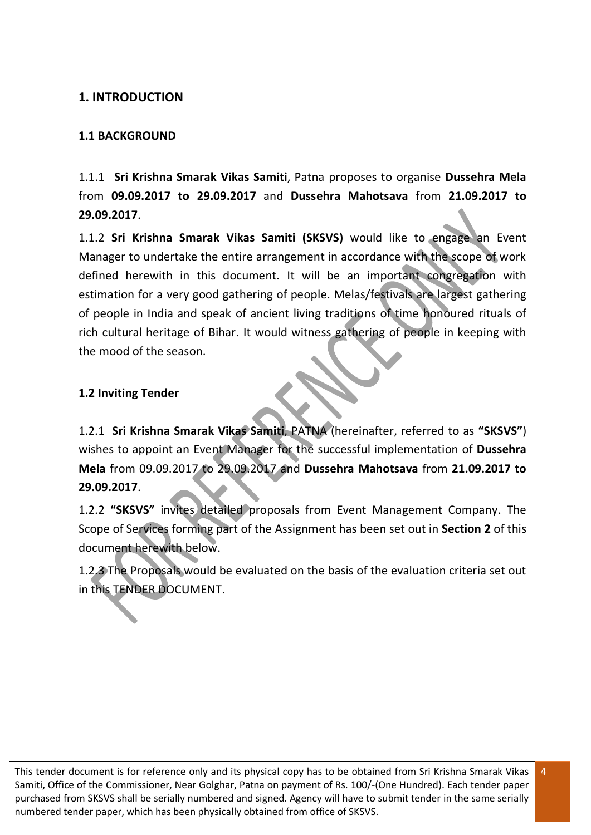#### **1. INTRODUCTION**

#### **1.1 BACKGROUND**

1.1.1 **Sri Krishna Smarak Vikas Samiti**, Patna proposes to organise **Dussehra Mela** from **09.09.2017 to 29.09.2017** and **Dussehra Mahotsava** from **21.09.2017 to 29.09.2017**.

1.1.2 **Sri Krishna Smarak Vikas Samiti (SKSVS)** would like to engage an Event Manager to undertake the entire arrangement in accordance with the scope of work defined herewith in this document. It will be an important congregation with estimation for a very good gathering of people. Melas/festivals are largest gathering of people in India and speak of ancient living traditions of time honoured rituals of rich cultural heritage of Bihar. It would witness gathering of people in keeping with the mood of the season.

#### **1.2 Inviting Tender**

1.2.1 **Sri Krishna Smarak Vikas Samiti**, PATNA (hereinafter, referred to as **"SKSVS"**) wishes to appoint an Event Manager for the successful implementation of **Dussehra Mela** from 09.09.2017 to 29.09.2017 and **Dussehra Mahotsava** from **21.09.2017 to 29.09.2017**.

1.2.2 **"SKSVS"** invites detailed proposals from Event Management Company. The Scope of Services forming part of the Assignment has been set out in **Section 2** of this document herewith below.

1.2.3 The Proposals would be evaluated on the basis of the evaluation criteria set out in this TENDER DOCUMENT.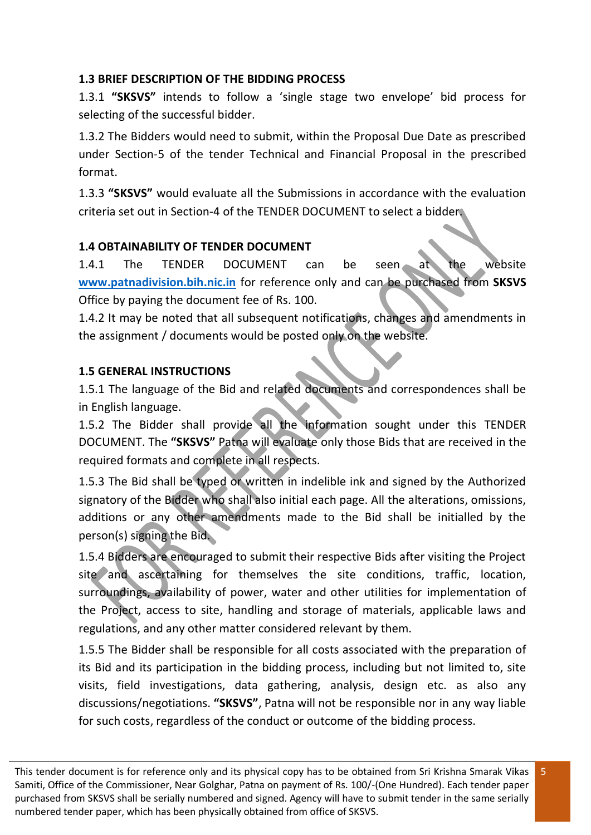#### **1.3 BRIEF DESCRIPTION OF THE BIDDING PROCESS**

1.3.1 **"SKSVS"** intends to follow a 'single stage two envelope' bid process for selecting of the successful bidder.

1.3.2 The Bidders would need to submit, within the Proposal Due Date as prescribed under Section-5 of the tender Technical and Financial Proposal in the prescribed format.

1.3.3 **"SKSVS"** would evaluate all the Submissions in accordance with the evaluation criteria set out in Section-4 of the TENDER DOCUMENT to select a bidder.

#### **1.4 OBTAINABILITY OF TENDER DOCUMENT**

1.4.1 The TENDER DOCUMENT can be seen at the website **[www.patnadivision.bih.nic.in](http://www.patnadivision.bih.nic.in/)** for reference only and can be purchased from **SKSVS** Office by paying the document fee of Rs. 100.

1.4.2 It may be noted that all subsequent notifications, changes and amendments in the assignment / documents would be posted only on the website.

#### **1.5 GENERAL INSTRUCTIONS**

1.5.1 The language of the Bid and related documents and correspondences shall be in English language.

1.5.2 The Bidder shall provide all the information sought under this TENDER DOCUMENT. The **"SKSVS"** Patna will evaluate only those Bids that are received in the required formats and complete in all respects.

1.5.3 The Bid shall be typed or written in indelible ink and signed by the Authorized signatory of the Bidder who shall also initial each page. All the alterations, omissions, additions or any other amendments made to the Bid shall be initialled by the person(s) signing the Bid.

1.5.4 Bidders are encouraged to submit their respective Bids after visiting the Project site and ascertaining for themselves the site conditions, traffic, location, surroundings, availability of power, water and other utilities for implementation of the Project, access to site, handling and storage of materials, applicable laws and regulations, and any other matter considered relevant by them.

1.5.5 The Bidder shall be responsible for all costs associated with the preparation of its Bid and its participation in the bidding process, including but not limited to, site visits, field investigations, data gathering, analysis, design etc. as also any discussions/negotiations. **"SKSVS"**, Patna will not be responsible nor in any way liable for such costs, regardless of the conduct or outcome of the bidding process.

This tender document is for reference only and its physical copy has to be obtained from Sri Krishna Smarak Vikas Samiti, Office of the Commissioner, Near Golghar, Patna on payment of Rs. 100/-(One Hundred). Each tender paper purchased from SKSVS shall be serially numbered and signed. Agency will have to submit tender in the same serially numbered tender paper, which has been physically obtained from office of SKSVS.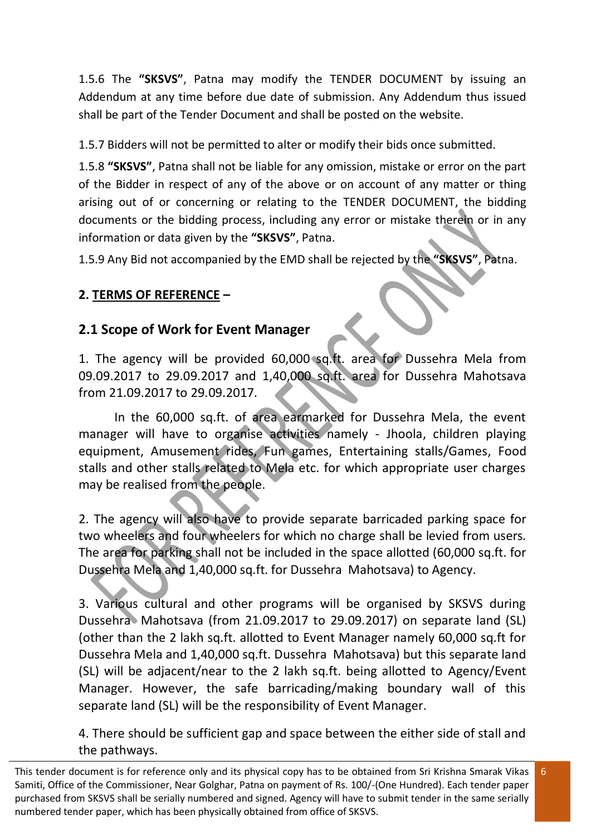1.5.6 The **"SKSVS"**, Patna may modify the TENDER DOCUMENT by issuing an Addendum at any time before due date of submission. Any Addendum thus issued shall be part of the Tender Document and shall be posted on the website.

1.5.7 Bidders will not be permitted to alter or modify their bids once submitted.

1.5.8 **"SKSVS"**, Patna shall not be liable for any omission, mistake or error on the part of the Bidder in respect of any of the above or on account of any matter or thing arising out of or concerning or relating to the TENDER DOCUMENT, the bidding documents or the bidding process, including any error or mistake therein or in any information or data given by the **"SKSVS"**, Patna.

1.5.9 Any Bid not accompanied by the EMD shall be rejected by the **"SKSVS"**, Patna.

# **2. TERMS OF REFERENCE –**

# **2.1 Scope of Work for Event Manager**

1. The agency will be provided 60,000 sq.ft. area for Dussehra Mela from 09.09.2017 to 29.09.2017 and 1,40,000 sq.ft. area for Dussehra Mahotsava from 21.09.2017 to 29.09.2017.

In the 60,000 sq.ft. of area earmarked for Dussehra Mela, the event manager will have to organise activities namely - Jhoola, children playing equipment, Amusement rides, Fun games, Entertaining stalls/Games, Food stalls and other stalls related to Mela etc. for which appropriate user charges may be realised from the people.

2. The agency will also have to provide separate barricaded parking space for two wheelers and four wheelers for which no charge shall be levied from users. The area for parking shall not be included in the space allotted (60,000 sq.ft. for Dussehra Mela and 1,40,000 sq.ft. for Dussehra Mahotsava) to Agency.

3. Various cultural and other programs will be organised by SKSVS during Dussehra Mahotsava (from 21.09.2017 to 29.09.2017) on separate land (SL) (other than the 2 lakh sq.ft. allotted to Event Manager namely 60,000 sq.ft for Dussehra Mela and 1,40,000 sq.ft. Dussehra Mahotsava) but this separate land (SL) will be adjacent/near to the 2 lakh sq.ft. being allotted to Agency/Event Manager. However, the safe barricading/making boundary wall of this separate land (SL) will be the responsibility of Event Manager.

4. There should be sufficient gap and space between the either side of stall and the pathways.

This tender document is for reference only and its physical copy has to be obtained from Sri Krishna Smarak Vikas Samiti, Office of the Commissioner, Near Golghar, Patna on payment of Rs. 100/-(One Hundred). Each tender paper purchased from SKSVS shall be serially numbered and signed. Agency will have to submit tender in the same serially numbered tender paper, which has been physically obtained from office of SKSVS.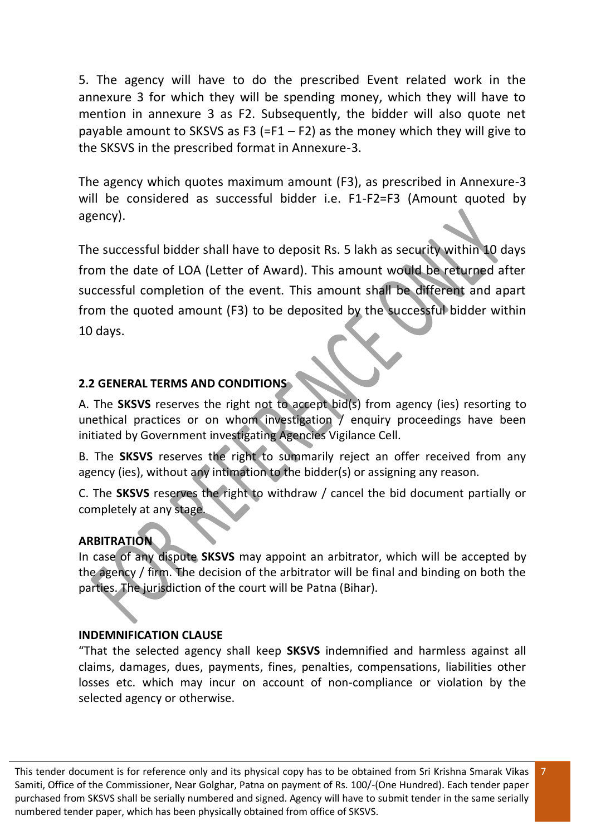5. The agency will have to do the prescribed Event related work in the annexure 3 for which they will be spending money, which they will have to mention in annexure 3 as F2. Subsequently, the bidder will also quote net payable amount to SKSVS as F3 (=F1 – F2) as the money which they will give to the SKSVS in the prescribed format in Annexure-3.

The agency which quotes maximum amount (F3), as prescribed in Annexure-3 will be considered as successful bidder i.e. F1-F2=F3 (Amount quoted by agency).

The successful bidder shall have to deposit Rs. 5 lakh as security within 10 days from the date of LOA (Letter of Award). This amount would be returned after successful completion of the event. This amount shall be different and apart from the quoted amount (F3) to be deposited by the successful bidder within 10 days.

#### **2.2 GENERAL TERMS AND CONDITIONS**

A. The **SKSVS** reserves the right not to accept bid(s) from agency (ies) resorting to unethical practices or on whom investigation / enquiry proceedings have been initiated by Government investigating Agencies Vigilance Cell.

B. The **SKSVS** reserves the right to summarily reject an offer received from any agency (ies), without any intimation to the bidder(s) or assigning any reason.

C. The **SKSVS** reserves the right to withdraw / cancel the bid document partially or completely at any stage.

#### **ARBITRATION**

In case of any dispute **SKSVS** may appoint an arbitrator, which will be accepted by the agency / firm. The decision of the arbitrator will be final and binding on both the parties. The jurisdiction of the court will be Patna (Bihar).

#### **INDEMNIFICATION CLAUSE**

"That the selected agency shall keep **SKSVS** indemnified and harmless against all claims, damages, dues, payments, fines, penalties, compensations, liabilities other losses etc. which may incur on account of non-compliance or violation by the selected agency or otherwise.

7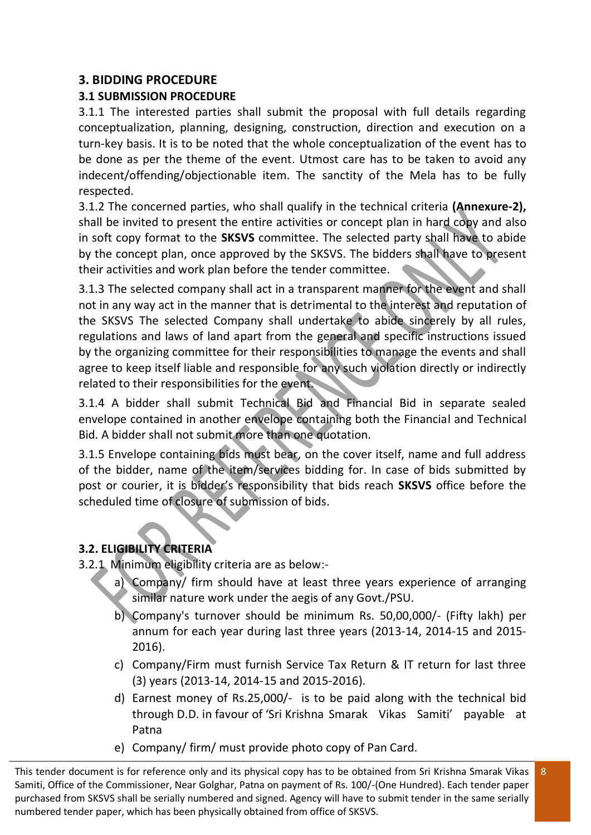#### **3. BIDDING PROCEDURE**

### **3.1 SUBMISSION PROCEDURE**

3.1.1 The interested parties shall submit the proposal with full details regarding conceptualization, planning, designing, construction, direction and execution on a turn-key basis. It is to be noted that the whole conceptualization of the event has to be done as per the theme of the event. Utmost care has to be taken to avoid any indecent/offending/objectionable item. The sanctity of the Mela has to be fully respected.

3.1.2 The concerned parties, who shall qualify in the technical criteria **(Annexure-2),**  shall be invited to present the entire activities or concept plan in hard copy and also in soft copy format to the **SKSVS** committee. The selected party shall have to abide by the concept plan, once approved by the SKSVS. The bidders shall have to present their activities and work plan before the tender committee.

3.1.3 The selected company shall act in a transparent manner for the event and shall not in any way act in the manner that is detrimental to the interest and reputation of the SKSVS The selected Company shall undertake to abide sincerely by all rules, regulations and laws of land apart from the general and specific instructions issued by the organizing committee for their responsibilities to manage the events and shall agree to keep itself liable and responsible for any such violation directly or indirectly related to their responsibilities for the event.

3.1.4 A bidder shall submit Technical Bid and Financial Bid in separate sealed envelope contained in another envelope containing both the Financial and Technical Bid. A bidder shall not submit more than one quotation.

3.1.5 Envelope containing bids must bear, on the cover itself, name and full address of the bidder, name of the item/services bidding for. In case of bids submitted by post or courier, it is bidder's responsibility that bids reach **SKSVS** office before the scheduled time of closure of submission of bids.

## **3.2. ELIGIBILITY CRITERIA**

- 3.2.1 Minimum eligibility criteria are as below:
	- a) Company/ firm should have at least three years experience of arranging similar nature work under the aegis of any Govt./PSU.
	- b) Company's turnover should be minimum Rs. 50,00,000/- (Fifty lakh) per annum for each year during last three years (2013-14, 2014-15 and 2015- 2016).
	- c) Company/Firm must furnish Service Tax Return & IT return for last three (3) years (2013-14, 2014-15 and 2015-2016).
	- d) Earnest money of Rs.25,000/- is to be paid along with the technical bid through D.D. in favour of 'Sri Krishna Smarak Vikas Samiti' payable at Patna

8

e) Company/ firm/ must provide photo copy of Pan Card.

This tender document is for reference only and its physical copy has to be obtained from Sri Krishna Smarak Vikas Samiti, Office of the Commissioner, Near Golghar, Patna on payment of Rs. 100/-(One Hundred). Each tender paper purchased from SKSVS shall be serially numbered and signed. Agency will have to submit tender in the same serially numbered tender paper, which has been physically obtained from office of SKSVS.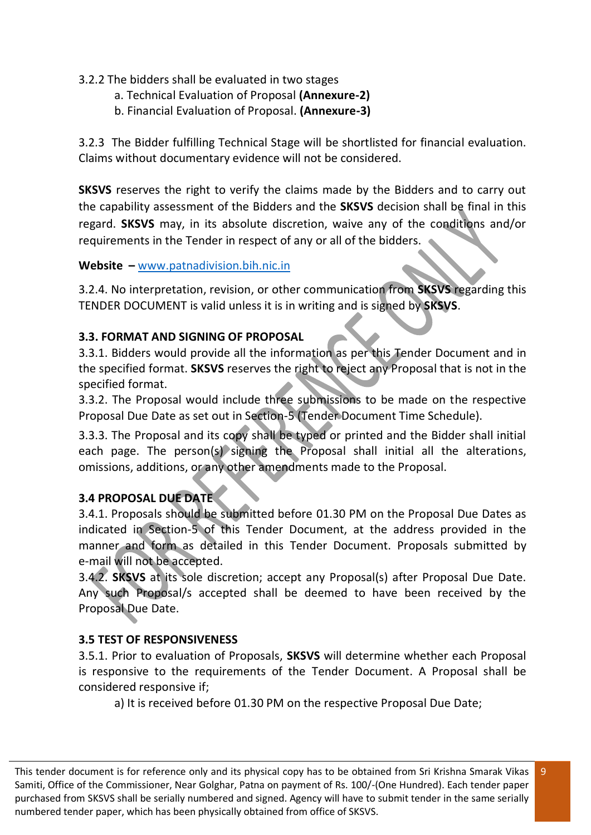#### 3.2.2 The bidders shall be evaluated in two stages

- a. Technical Evaluation of Proposal **(Annexure-2)**
- b. Financial Evaluation of Proposal. **(Annexure-3)**

3.2.3 The Bidder fulfilling Technical Stage will be shortlisted for financial evaluation. Claims without documentary evidence will not be considered.

**SKSVS** reserves the right to verify the claims made by the Bidders and to carry out the capability assessment of the Bidders and the **SKSVS** decision shall be final in this regard. **SKSVS** may, in its absolute discretion, waive any of the conditions and/or requirements in the Tender in respect of any or all of the bidders.

#### **Website –** [www.patnadivision.bih.nic.in](http://www.patnadivision.bih.nic.in/)

3.2.4. No interpretation, revision, or other communication from **SKSVS** regarding this TENDER DOCUMENT is valid unless it is in writing and is signed by **SKSVS**.

#### **3.3. FORMAT AND SIGNING OF PROPOSAL**

3.3.1. Bidders would provide all the information as per this Tender Document and in the specified format. **SKSVS** reserves the right to reject any Proposal that is not in the specified format.

3.3.2. The Proposal would include three submissions to be made on the respective Proposal Due Date as set out in Section-5 (Tender Document Time Schedule).

3.3.3. The Proposal and its copy shall be typed or printed and the Bidder shall initial each page. The person(s) signing the Proposal shall initial all the alterations, omissions, additions, or any other amendments made to the Proposal.

#### **3.4 PROPOSAL DUE DATE**

3.4.1. Proposals should be submitted before 01.30 PM on the Proposal Due Dates as indicated in Section-5 of this Tender Document, at the address provided in the manner and form as detailed in this Tender Document. Proposals submitted by e-mail will not be accepted.

3.4.2. **SKSVS** at its sole discretion; accept any Proposal(s) after Proposal Due Date. Any such Proposal/s accepted shall be deemed to have been received by the Proposal Due Date.

#### **3.5 TEST OF RESPONSIVENESS**

3.5.1. Prior to evaluation of Proposals, **SKSVS** will determine whether each Proposal is responsive to the requirements of the Tender Document. A Proposal shall be considered responsive if;

a) It is received before 01.30 PM on the respective Proposal Due Date;

This tender document is for reference only and its physical copy has to be obtained from Sri Krishna Smarak Vikas Samiti, Office of the Commissioner, Near Golghar, Patna on payment of Rs. 100/-(One Hundred). Each tender paper purchased from SKSVS shall be serially numbered and signed. Agency will have to submit tender in the same serially numbered tender paper, which has been physically obtained from office of SKSVS.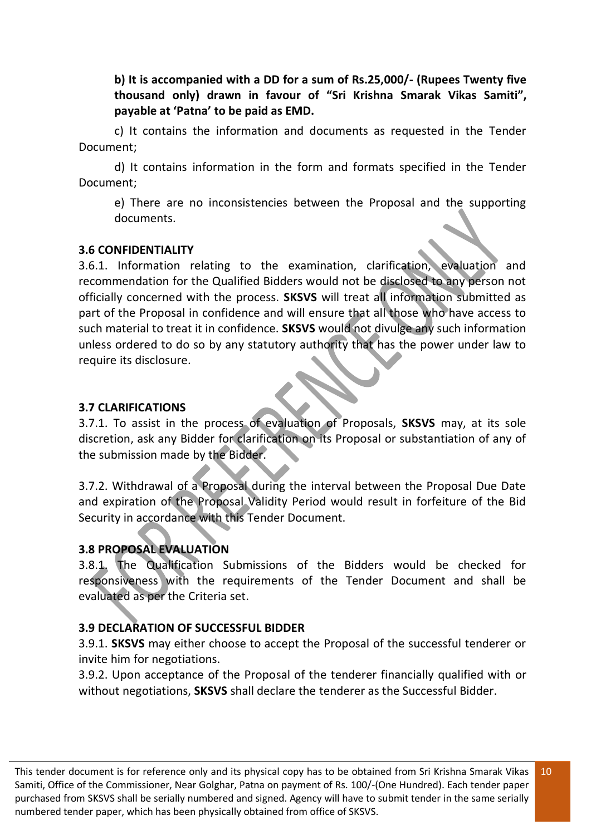**b) It is accompanied with a DD for a sum of Rs.25,000/- (Rupees Twenty five thousand only) drawn in favour of "Sri Krishna Smarak Vikas Samiti", payable at 'Patna' to be paid as EMD.** 

c) It contains the information and documents as requested in the Tender Document;

d) It contains information in the form and formats specified in the Tender Document;

e) There are no inconsistencies between the Proposal and the supporting documents.

#### **3.6 CONFIDENTIALITY**

3.6.1. Information relating to the examination, clarification, evaluation and recommendation for the Qualified Bidders would not be disclosed to any person not officially concerned with the process. **SKSVS** will treat all information submitted as part of the Proposal in confidence and will ensure that all those who have access to such material to treat it in confidence. **SKSVS** would not divulge any such information unless ordered to do so by any statutory authority that has the power under law to require its disclosure.

#### **3.7 CLARIFICATIONS**

3.7.1. To assist in the process of evaluation of Proposals, **SKSVS** may, at its sole discretion, ask any Bidder for clarification on its Proposal or substantiation of any of the submission made by the Bidder.

3.7.2. Withdrawal of a Proposal during the interval between the Proposal Due Date and expiration of the Proposal Validity Period would result in forfeiture of the Bid Security in accordance with this Tender Document.

#### **3.8 PROPOSAL EVALUATION**

3.8.1. The Qualification Submissions of the Bidders would be checked for responsiveness with the requirements of the Tender Document and shall be evaluated as per the Criteria set.

#### **3.9 DECLARATION OF SUCCESSFUL BIDDER**

3.9.1. **SKSVS** may either choose to accept the Proposal of the successful tenderer or invite him for negotiations.

3.9.2. Upon acceptance of the Proposal of the tenderer financially qualified with or without negotiations, **SKSVS** shall declare the tenderer as the Successful Bidder.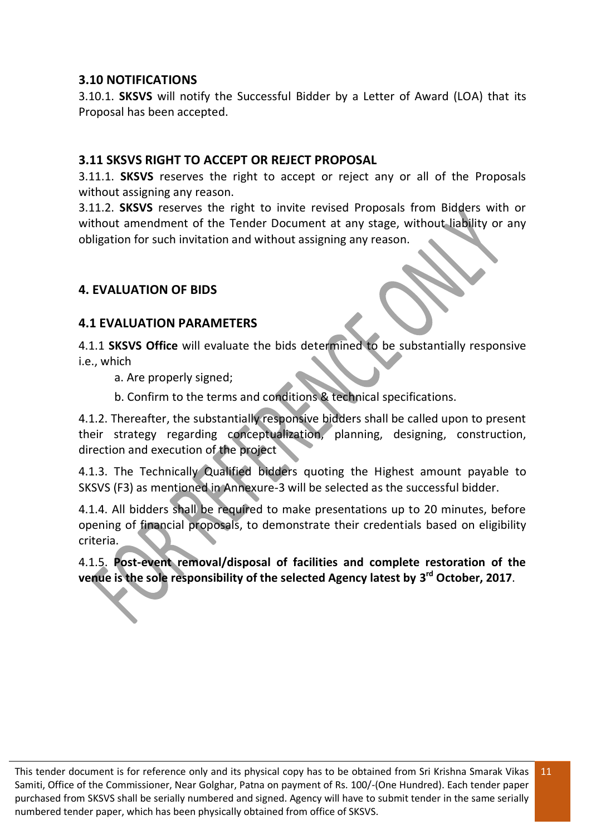#### **3.10 NOTIFICATIONS**

3.10.1. **SKSVS** will notify the Successful Bidder by a Letter of Award (LOA) that its Proposal has been accepted.

#### **3.11 SKSVS RIGHT TO ACCEPT OR REJECT PROPOSAL**

3.11.1. **SKSVS** reserves the right to accept or reject any or all of the Proposals without assigning any reason.

3.11.2. **SKSVS** reserves the right to invite revised Proposals from Bidders with or without amendment of the Tender Document at any stage, without liability or any obligation for such invitation and without assigning any reason.

#### **4. EVALUATION OF BIDS**

#### **4.1 EVALUATION PARAMETERS**

4.1.1 **SKSVS Office** will evaluate the bids determined to be substantially responsive i.e., which

a. Are properly signed;

b. Confirm to the terms and conditions & technical specifications.

4.1.2. Thereafter, the substantially responsive bidders shall be called upon to present their strategy regarding conceptualization, planning, designing, construction, direction and execution of the project

4.1.3. The Technically Qualified bidders quoting the Highest amount payable to SKSVS (F3) as mentioned in Annexure-3 will be selected as the successful bidder.

4.1.4. All bidders shall be required to make presentations up to 20 minutes, before opening of financial proposals, to demonstrate their credentials based on eligibility criteria.

4.1.5. **Post-event removal/disposal of facilities and complete restoration of the venue is the sole responsibility of the selected Agency latest by 3 rd October, 2017**.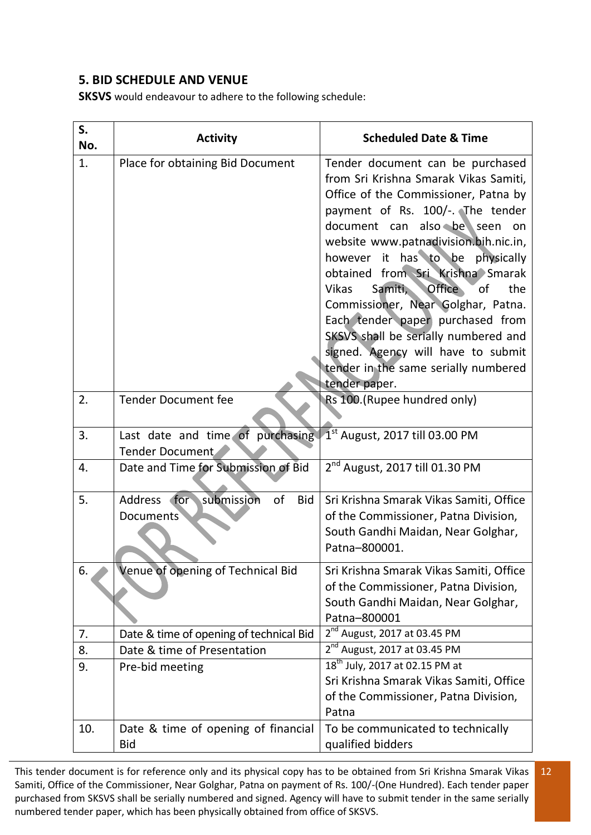#### **5. BID SCHEDULE AND VENUE**

**SKSVS** would endeavour to adhere to the following schedule:

| S.<br>No. | <b>Activity</b>                                                | <b>Scheduled Date &amp; Time</b>                                                                                                                                                                                                                                                                                                                                                                                                                                                                                                                                                |
|-----------|----------------------------------------------------------------|---------------------------------------------------------------------------------------------------------------------------------------------------------------------------------------------------------------------------------------------------------------------------------------------------------------------------------------------------------------------------------------------------------------------------------------------------------------------------------------------------------------------------------------------------------------------------------|
| 1.        | Place for obtaining Bid Document                               | Tender document can be purchased<br>from Sri Krishna Smarak Vikas Samiti,<br>Office of the Commissioner, Patna by<br>payment of Rs. 100/-. The tender<br>document can also be seen on<br>website www.patnadivision.bih.nic.in,<br>however it has to be physically<br>obtained from Sri Krishna Smarak<br>Samiti,<br><b>Office</b><br>of<br>the<br><b>Vikas</b><br>Commissioner, Near Golghar, Patna.<br>Each tender paper purchased from<br>SKSVS shall be serially numbered and<br>signed. Agency will have to submit<br>tender in the same serially numbered<br>tender paper. |
| 2.        | <b>Tender Document fee</b>                                     | Rs 100.(Rupee hundred only)                                                                                                                                                                                                                                                                                                                                                                                                                                                                                                                                                     |
| 3.        | Last date and time of purchasing<br>Tender Document            | $1st$ August, 2017 till 03.00 PM                                                                                                                                                                                                                                                                                                                                                                                                                                                                                                                                                |
| 4.        | Date and Time for Submission of Bid                            | 2 <sup>nd</sup> August, 2017 till 01.30 PM                                                                                                                                                                                                                                                                                                                                                                                                                                                                                                                                      |
| 5.        | Address for submission<br>of<br><b>Bid</b><br><b>Documents</b> | Sri Krishna Smarak Vikas Samiti, Office<br>of the Commissioner, Patna Division,<br>South Gandhi Maidan, Near Golghar,<br>Patna-800001.                                                                                                                                                                                                                                                                                                                                                                                                                                          |
| 6.        | Venue of opening of Technical Bid                              | Sri Krishna Smarak Vikas Samiti, Office<br>of the Commissioner, Patna Division,<br>South Gandhi Maidan, Near Golghar,<br>Patna-800001                                                                                                                                                                                                                                                                                                                                                                                                                                           |
| 7.        | Date & time of opening of technical Bid                        | $2^{nd}$ August, 2017 at 03.45 PM                                                                                                                                                                                                                                                                                                                                                                                                                                                                                                                                               |
| 8.        | Date & time of Presentation                                    | 2 <sup>nd</sup> August, 2017 at 03.45 PM                                                                                                                                                                                                                                                                                                                                                                                                                                                                                                                                        |
| 9.        | Pre-bid meeting                                                | 18 <sup>th</sup> July, 2017 at 02.15 PM at<br>Sri Krishna Smarak Vikas Samiti, Office<br>of the Commissioner, Patna Division,<br>Patna                                                                                                                                                                                                                                                                                                                                                                                                                                          |
| 10.       | Date & time of opening of financial<br><b>Bid</b>              | To be communicated to technically<br>qualified bidders                                                                                                                                                                                                                                                                                                                                                                                                                                                                                                                          |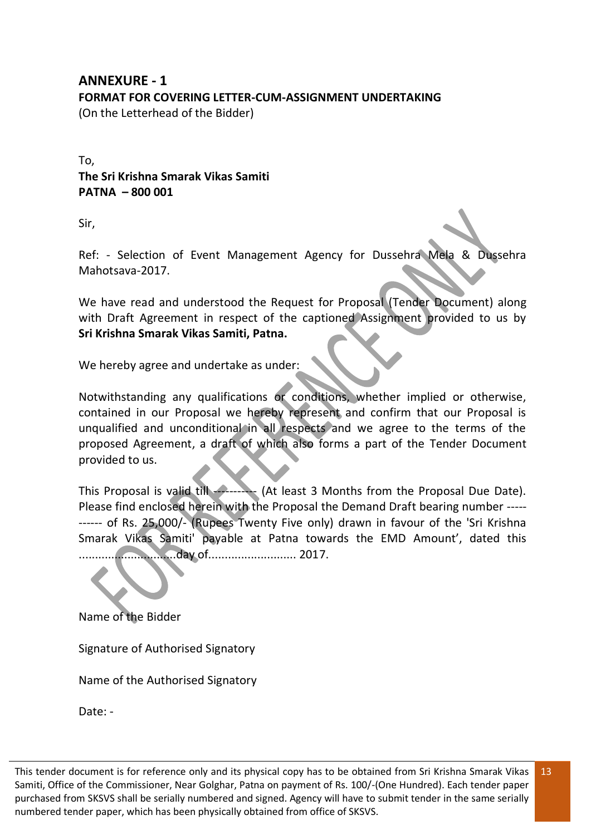#### **ANNEXURE - 1 FORMAT FOR COVERING LETTER-CUM-ASSIGNMENT UNDERTAKING**  (On the Letterhead of the Bidder)

To, **The Sri Krishna Smarak Vikas Samiti PATNA – 800 001** 

Sir,

Ref: - Selection of Event Management Agency for Dussehra Mela & Dussehra Mahotsava-2017.

We have read and understood the Request for Proposal (Tender Document) along with Draft Agreement in respect of the captioned Assignment provided to us by **Sri Krishna Smarak Vikas Samiti, Patna.**

We hereby agree and undertake as under:

Notwithstanding any qualifications or conditions, whether implied or otherwise, contained in our Proposal we hereby represent and confirm that our Proposal is unqualified and unconditional in all respects and we agree to the terms of the proposed Agreement, a draft of which also forms a part of the Tender Document provided to us.

This Proposal is valid till --------- (At least 3 Months from the Proposal Due Date). Please find enclosed herein with the Proposal the Demand Draft bearing number ----- ------ of Rs. 25,000/- (Rupees Twenty Five only) drawn in favour of the 'Sri Krishna Smarak Vikas Samiti' payable at Patna towards the EMD Amount', dated this ..............................day of........................... 2017.

Name of the Bidder

Signature of Authorised Signatory

Name of the Authorised Signatory

Date: -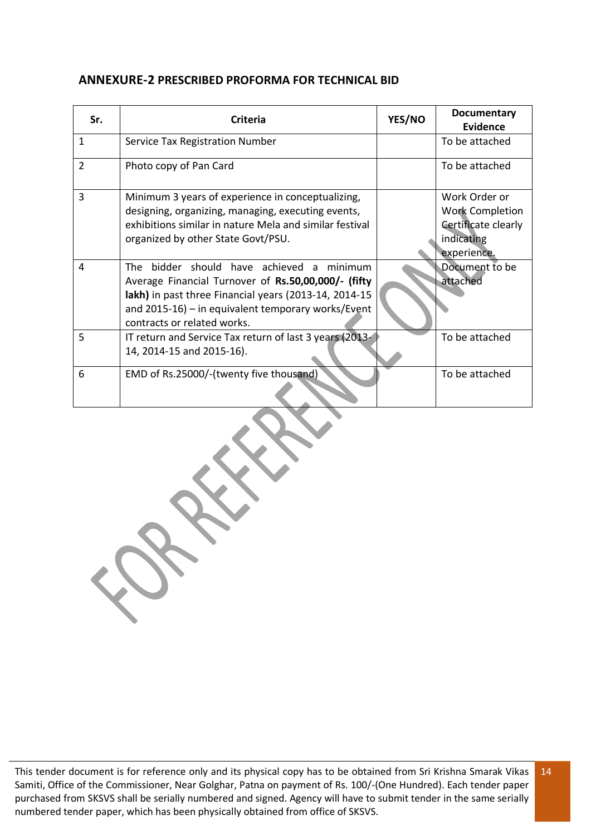#### **ANNEXURE-2 PRESCRIBED PROFORMA FOR TECHNICAL BID**

| Sr.            | <b>Criteria</b>                                                                                                                                                                                                                                   | YES/NO | <b>Documentary</b><br><b>Evidence</b>                                                       |
|----------------|---------------------------------------------------------------------------------------------------------------------------------------------------------------------------------------------------------------------------------------------------|--------|---------------------------------------------------------------------------------------------|
| $\mathbf{1}$   | Service Tax Registration Number                                                                                                                                                                                                                   |        | To be attached                                                                              |
| $\overline{2}$ | Photo copy of Pan Card                                                                                                                                                                                                                            |        | To be attached                                                                              |
| 3              | Minimum 3 years of experience in conceptualizing,<br>designing, organizing, managing, executing events,<br>exhibitions similar in nature Mela and similar festival<br>organized by other State Govt/PSU.                                          |        | Work Order or<br><b>Work Completion</b><br>Certificate clearly<br>indicating<br>experience. |
| 4              | The bidder should have achieved a minimum<br>Average Financial Turnover of Rs.50,00,000/- (fifty<br>lakh) in past three Financial years (2013-14, 2014-15<br>and $2015-16$ ) – in equivalent temporary works/Event<br>contracts or related works. |        | Document to be<br>attached                                                                  |
| 5              | IT return and Service Tax return of last 3 years (2013-<br>14, 2014-15 and 2015-16).                                                                                                                                                              |        | To be attached                                                                              |
| 6              | EMD of Rs.25000/-(twenty five thousand)                                                                                                                                                                                                           |        | To be attached                                                                              |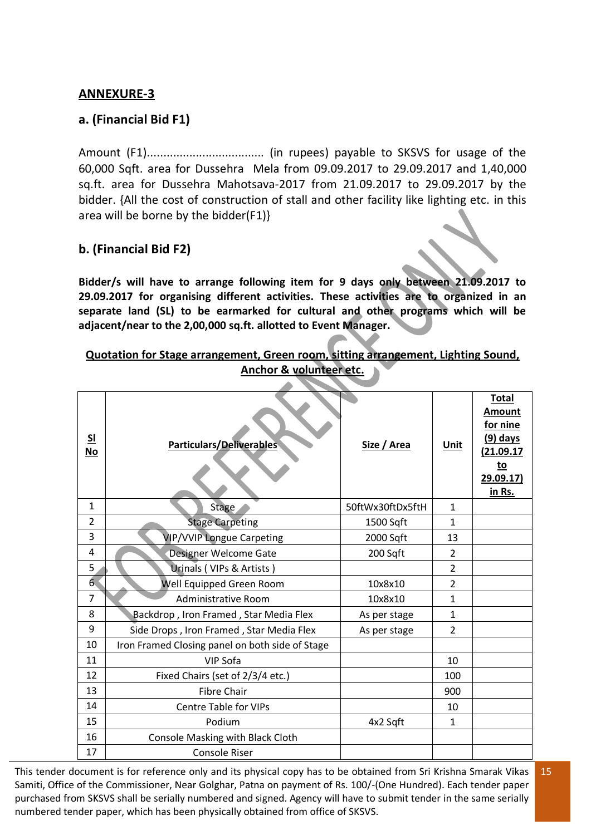#### **ANNEXURE-3**

#### **a. (Financial Bid F1)**

Amount (F1).................................... (in rupees) payable to SKSVS for usage of the 60,000 Sqft. area for Dussehra Mela from 09.09.2017 to 29.09.2017 and 1,40,000 sq.ft. area for Dussehra Mahotsava-2017 from 21.09.2017 to 29.09.2017 by the bidder. {All the cost of construction of stall and other facility like lighting etc. in this area will be borne by the bidder(F1)}

#### **b. (Financial Bid F2)**

**Bidder/s will have to arrange following item for 9 days only between 21.09.2017 to 29.09.2017 for organising different activities. These activities are to organized in an separate land (SL) to be earmarked for cultural and other programs which will be adjacent/near to the 2,00,000 sq.ft. allotted to Event Manager.**

#### **Quotation for Stage arrangement, Green room, sitting arrangement, Lighting Sound, Anchor & volunteer etc.**

| S <sub>1</sub><br><b>No</b> | <b>Particulars/Deliverables</b>                 | Size / Area      | <b>Unit</b>    | <b>Total</b><br><b>Amount</b><br>for nine<br>$(9)$ days<br>(21.09.17<br><u>to</u><br>29.09.17)<br>in Rs. |
|-----------------------------|-------------------------------------------------|------------------|----------------|----------------------------------------------------------------------------------------------------------|
| $\mathbf{1}$                | <b>Stage</b>                                    | 50ftWx30ftDx5ftH | $\mathbf{1}$   |                                                                                                          |
| 2                           | <b>Stage Carpeting</b><br>1500 Sqft             |                  | 1              |                                                                                                          |
| 3                           | <b>VIP/VVIP Longue Carpeting</b>                | 2000 Sqft        | 13             |                                                                                                          |
| 4                           | Designer Welcome Gate                           | 200 Sqft         | $\overline{2}$ |                                                                                                          |
| 5                           | Urinals (VIPs & Artists)                        |                  | $\overline{2}$ |                                                                                                          |
| $6\overline{6}$             | Well Equipped Green Room                        | 10x8x10          | $\overline{2}$ |                                                                                                          |
| $\overline{7}$              | <b>Administrative Room</b>                      | 10x8x10          | $\mathbf{1}$   |                                                                                                          |
| 8                           | Backdrop, Iron Framed, Star Media Flex          | As per stage     | $\mathbf{1}$   |                                                                                                          |
| 9                           | Side Drops, Iron Framed, Star Media Flex        | As per stage     | $\overline{2}$ |                                                                                                          |
| 10                          | Iron Framed Closing panel on both side of Stage |                  |                |                                                                                                          |
| 11                          | <b>VIP Sofa</b>                                 |                  | 10             |                                                                                                          |
| 12                          | Fixed Chairs (set of 2/3/4 etc.)                |                  | 100            |                                                                                                          |
| 13                          | <b>Fibre Chair</b>                              |                  | 900            |                                                                                                          |
| 14                          | <b>Centre Table for VIPs</b>                    |                  | 10             |                                                                                                          |
| 15                          | Podium                                          | 4x2 Sqft         | 1              |                                                                                                          |
| 16                          | Console Masking with Black Cloth                |                  |                |                                                                                                          |
| 17                          | <b>Console Riser</b>                            |                  |                |                                                                                                          |

This tender document is for reference only and its physical copy has to be obtained from Sri Krishna Smarak Vikas Samiti, Office of the Commissioner, Near Golghar, Patna on payment of Rs. 100/-(One Hundred). Each tender paper purchased from SKSVS shall be serially numbered and signed. Agency will have to submit tender in the same serially numbered tender paper, which has been physically obtained from office of SKSVS.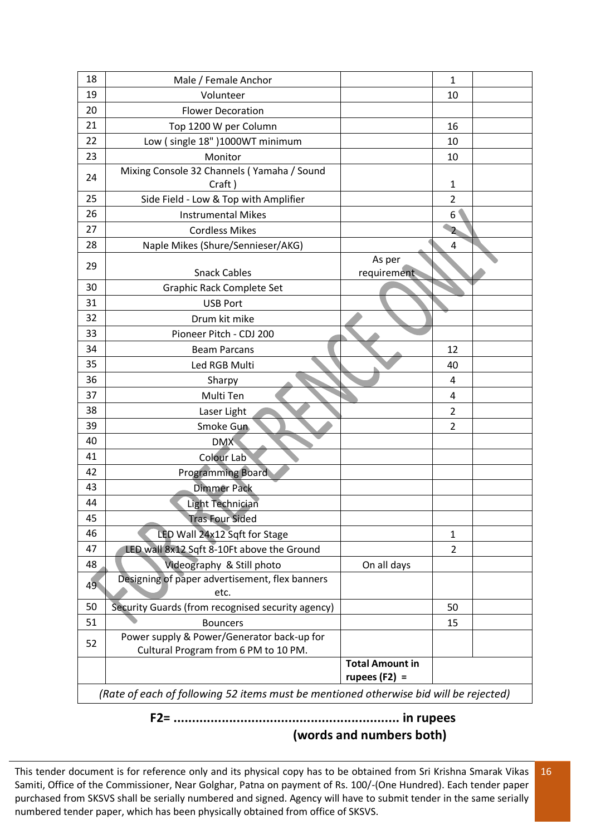| 18 | Male / Female Anchor                                                                  |                                           | $\mathbf{1}$   |  |
|----|---------------------------------------------------------------------------------------|-------------------------------------------|----------------|--|
| 19 | Volunteer                                                                             |                                           | 10             |  |
| 20 | <b>Flower Decoration</b>                                                              |                                           |                |  |
| 21 | Top 1200 W per Column                                                                 | 16                                        |                |  |
| 22 | Low (single 18")1000WT minimum                                                        |                                           | 10             |  |
| 23 | Monitor                                                                               |                                           | 10             |  |
|    | Mixing Console 32 Channels (Yamaha / Sound                                            |                                           |                |  |
| 24 | Craft)                                                                                |                                           | 1              |  |
| 25 | Side Field - Low & Top with Amplifier                                                 |                                           | $\overline{2}$ |  |
| 26 | <b>Instrumental Mikes</b>                                                             |                                           | 6              |  |
| 27 | <b>Cordless Mikes</b>                                                                 |                                           | $\overline{2}$ |  |
| 28 | Naple Mikes (Shure/Sennieser/AKG)<br>4                                                |                                           |                |  |
| 29 |                                                                                       | As per                                    |                |  |
|    | <b>Snack Cables</b>                                                                   | requirement                               |                |  |
| 30 | <b>Graphic Rack Complete Set</b>                                                      |                                           |                |  |
| 31 | <b>USB Port</b>                                                                       |                                           |                |  |
| 32 | Drum kit mike                                                                         |                                           |                |  |
| 33 | Pioneer Pitch - CDJ 200                                                               |                                           |                |  |
| 34 | <b>Beam Parcans</b>                                                                   |                                           | 12             |  |
| 35 | Led RGB Multi                                                                         |                                           | 40             |  |
| 36 | Sharpy                                                                                |                                           | 4              |  |
| 37 | Multi Ten                                                                             |                                           | 4              |  |
| 38 | Laser Light                                                                           |                                           | 2              |  |
| 39 | Smoke Gun                                                                             |                                           | $\overline{2}$ |  |
| 40 | <b>DMX</b>                                                                            |                                           |                |  |
| 41 | <b>Colour Lab</b>                                                                     |                                           |                |  |
| 42 | <b>Programming Board</b>                                                              |                                           |                |  |
| 43 | <b>Dimmer Pack</b>                                                                    |                                           |                |  |
| 44 | Light Technician                                                                      |                                           |                |  |
| 45 | <b>Tras Four Sided</b>                                                                |                                           |                |  |
| 46 | LED Wall 24x12 Sqft for Stage                                                         |                                           | 1              |  |
| 47 | LED wall 8x12 Sqft 8-10Ft above the Ground                                            |                                           | $\overline{2}$ |  |
| 48 | Videography & Still photo                                                             | On all days                               |                |  |
| 49 | Designing of paper advertisement, flex banners                                        |                                           |                |  |
|    | etc.                                                                                  |                                           |                |  |
| 50 | Security Guards (from recognised security agency)                                     |                                           | 50             |  |
| 51 | <b>Bouncers</b>                                                                       |                                           | 15             |  |
| 52 | Power supply & Power/Generator back-up for                                            |                                           |                |  |
|    | Cultural Program from 6 PM to 10 PM.                                                  |                                           |                |  |
|    |                                                                                       | <b>Total Amount in</b><br>rupees $(F2) =$ |                |  |
|    | (Rate of each of following 52 items must be mentioned otherwise bid will be rejected) |                                           |                |  |

## **F2= ............................................................. in rupees (words and numbers both)**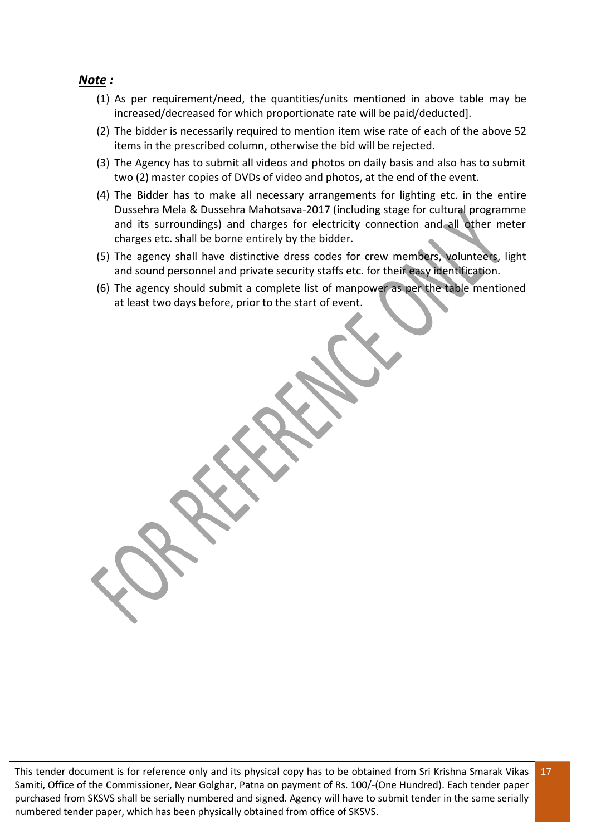#### *Note :*

- (1) As per requirement/need, the quantities/units mentioned in above table may be increased/decreased for which proportionate rate will be paid/deducted].
- (2) The bidder is necessarily required to mention item wise rate of each of the above 52 items in the prescribed column, otherwise the bid will be rejected.
- (3) The Agency has to submit all videos and photos on daily basis and also has to submit two (2) master copies of DVDs of video and photos, at the end of the event.
- (4) The Bidder has to make all necessary arrangements for lighting etc. in the entire Dussehra Mela & Dussehra Mahotsava-2017 (including stage for cultural programme and its surroundings) and charges for electricity connection and all other meter charges etc. shall be borne entirely by the bidder.
- (5) The agency shall have distinctive dress codes for crew members, volunteers, light and sound personnel and private security staffs etc. for their easy identification.
- (6) The agency should submit a complete list of manpower as per the table mentioned at least two days before, prior to the start of event.